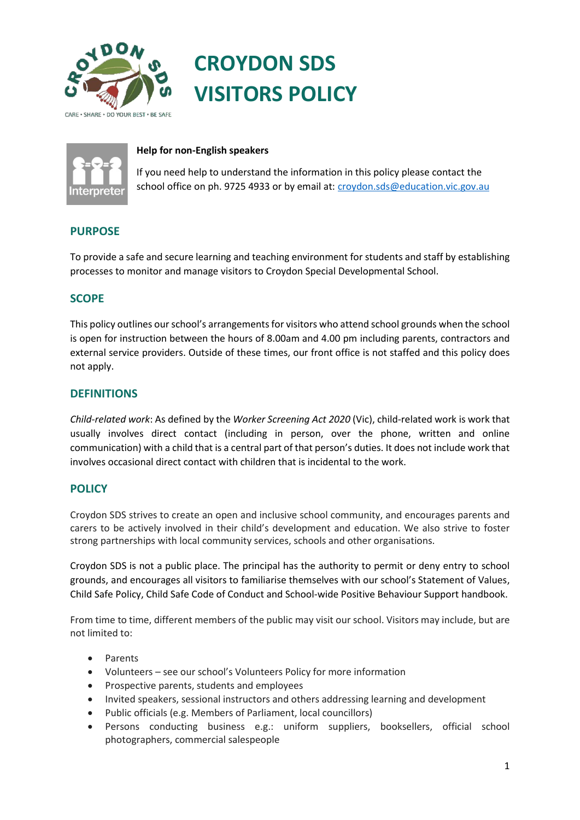

# **CROYDON SDS VISITORS POLICY**



#### **Help for non-English speakers**

If you need help to understand the information in this policy please contact the school office on ph. 9725 4933 or by email at[: croydon.sds@education.vic.gov.au](mailto:croydon.sds@education.vic.gov.au)

## **PURPOSE**

To provide a safe and secure learning and teaching environment for students and staff by establishing processes to monitor and manage visitors to Croydon Special Developmental School.

## **SCOPE**

This policy outlines our school's arrangements for visitors who attend school grounds when the school is open for instruction between the hours of 8.00am and 4.00 pm including parents, contractors and external service providers. Outside of these times, our front office is not staffed and this policy does not apply.

## **DEFINITIONS**

*Child-related work*: As defined by the *Worker Screening Act 2020* (Vic), child-related work is work that usually involves direct contact (including in person, over the phone, written and online communication) with a child that is a central part of that person's duties. It does not include work that involves occasional direct contact with children that is incidental to the work.

## **POLICY**

Croydon SDS strives to create an open and inclusive school community, and encourages parents and carers to be actively involved in their child's development and education. We also strive to foster strong partnerships with local community services, schools and other organisations.

Croydon SDS is not a public place. The principal has the authority to permit or deny entry to school grounds, and encourages all visitors to familiarise themselves with our school's Statement of Values, Child Safe Policy, Child Safe Code of Conduct and School-wide Positive Behaviour Support handbook.

From time to time, different members of the public may visit our school. Visitors may include, but are not limited to:

- **Parents**
- Volunteers see our school's Volunteers Policy for more information
- Prospective parents, students and employees
- Invited speakers, sessional instructors and others addressing learning and development
- Public officials (e.g. Members of Parliament, local councillors)
- Persons conducting business e.g.: uniform suppliers, booksellers, official school photographers, commercial salespeople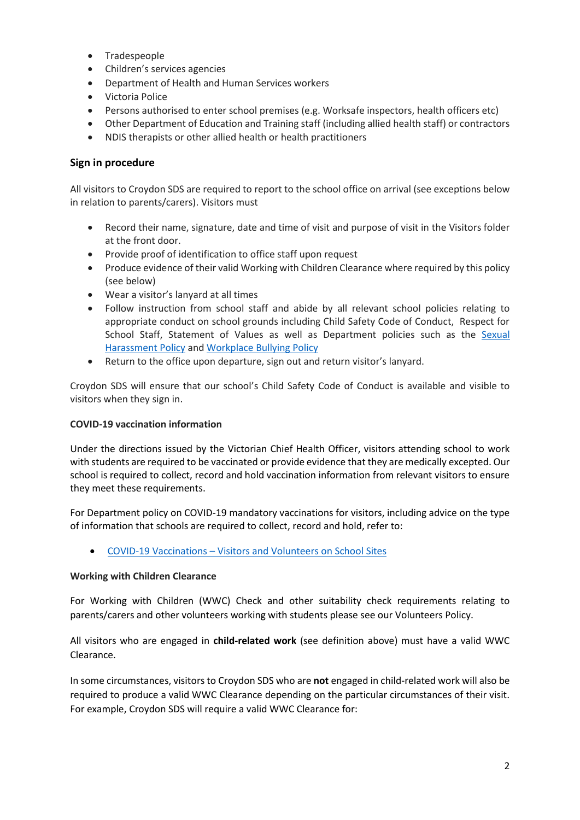- Tradespeople
- Children's services agencies
- Department of Health and Human Services workers
- Victoria Police
- Persons authorised to enter school premises (e.g. Worksafe inspectors, health officers etc)
- Other Department of Education and Training staff (including allied health staff) or contractors
- NDIS therapists or other allied health or health practitioners

### **Sign in procedure**

All visitors to Croydon SDS are required to report to the school office on arrival (see exceptions below in relation to parents/carers). Visitors must

- Record their name, signature, date and time of visit and purpose of visit in the Visitors folder at the front door.
- Provide proof of identification to office staff upon request
- Produce evidence of their valid Working with Children Clearance where required by this policy (see below)
- Wear a visitor's lanyard at all times
- Follow instruction from school staff and abide by all relevant school policies relating to appropriate conduct on school grounds including Child Safety Code of Conduct, Respect for School Staff, Statement of Values as well as Department policies such as the Sexual [Harassment Policy](https://www2.education.vic.gov.au/pal/sexual-harassment/overview) and [Workplace Bullying Policy](https://www2.education.vic.gov.au/pal/workplace-bullying/policy)
- Return to the office upon departure, sign out and return visitor's lanyard.

Croydon SDS will ensure that our school's Child Safety Code of Conduct is available and visible to visitors when they sign in.

#### **COVID-19 vaccination information**

Under the directions issued by the Victorian Chief Health Officer, visitors attending school to work with students are required to be vaccinated or provide evidence that they are medically excepted. Our school is required to collect, record and hold vaccination information from relevant visitors to ensure they meet these requirements.

For Department policy on COVID-19 mandatory vaccinations for visitors, including advice on the type of information that schools are required to collect, record and hold, refer to:

• COVID-19 Vaccinations – [Visitors and Volunteers on School Sites](https://www2.education.vic.gov.au/pal/covid-19-vaccinations-visitors-volunteers/policy)

#### **Working with Children Clearance**

For Working with Children (WWC) Check and other suitability check requirements relating to parents/carers and other volunteers working with students please see our Volunteers Policy.

All visitors who are engaged in **child-related work** (see definition above) must have a valid WWC Clearance.

In some circumstances, visitors to Croydon SDS who are **not** engaged in child-related work will also be required to produce a valid WWC Clearance depending on the particular circumstances of their visit. For example, Croydon SDS will require a valid WWC Clearance for: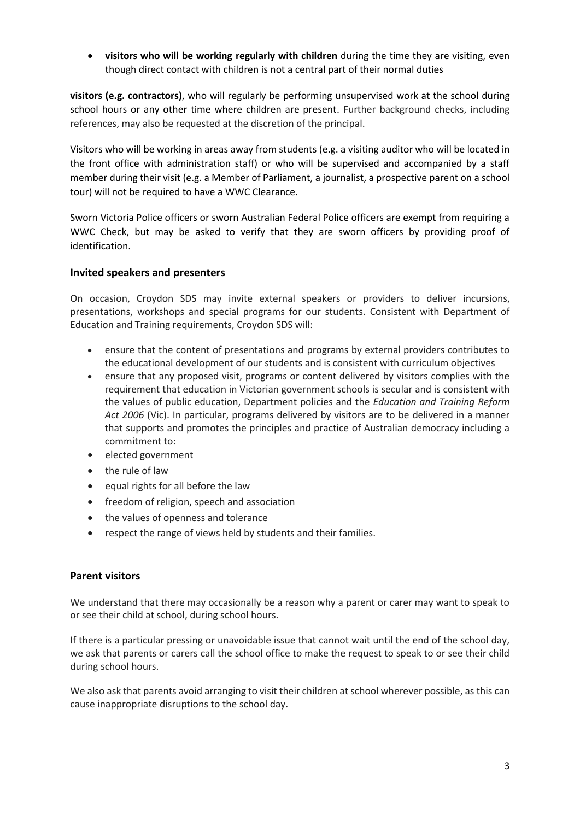• **visitors who will be working regularly with children** during the time they are visiting, even though direct contact with children is not a central part of their normal duties

**visitors (e.g. contractors)**, who will regularly be performing unsupervised work at the school during school hours or any other time where children are present. Further background checks, including references, may also be requested at the discretion of the principal.

Visitors who will be working in areas away from students (e.g. a visiting auditor who will be located in the front office with administration staff) or who will be supervised and accompanied by a staff member during their visit (e.g. a Member of Parliament, a journalist, a prospective parent on a school tour) will not be required to have a WWC Clearance.

Sworn Victoria Police officers or sworn Australian Federal Police officers are exempt from requiring a WWC Check, but may be asked to verify that they are sworn officers by providing proof of identification.

#### **Invited speakers and presenters**

On occasion, Croydon SDS may invite external speakers or providers to deliver incursions, presentations, workshops and special programs for our students. Consistent with Department of Education and Training requirements, Croydon SDS will:

- ensure that the content of presentations and programs by external providers contributes to the educational development of our students and is consistent with curriculum objectives
- ensure that any proposed visit, programs or content delivered by visitors complies with the requirement that education in Victorian government schools is secular and is consistent with the values of public education, Department policies and the *Education and Training Reform Act 2006* (Vic). In particular, programs delivered by visitors are to be delivered in a manner that supports and promotes the principles and practice of Australian democracy including a commitment to:
- elected government
- the rule of law
- equal rights for all before the law
- freedom of religion, speech and association
- the values of openness and tolerance
- respect the range of views held by students and their families.

#### **Parent visitors**

We understand that there may occasionally be a reason why a parent or carer may want to speak to or see their child at school, during school hours.

If there is a particular pressing or unavoidable issue that cannot wait until the end of the school day, we ask that parents or carers call the school office to make the request to speak to or see their child during school hours.

We also ask that parents avoid arranging to visit their children at school wherever possible, as this can cause inappropriate disruptions to the school day.